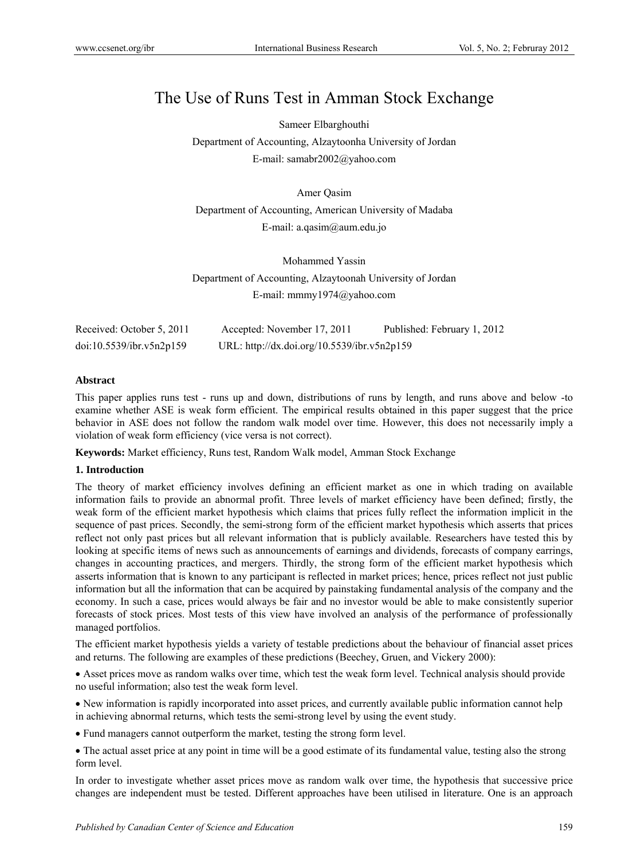# The Use of Runs Test in Amman Stock Exchange

Sameer Elbarghouthi Department of Accounting, Alzaytoonha University of Jordan E-mail: samabr2002@yahoo.com

Amer Qasim

Department of Accounting, American University of Madaba E-mail: a.qasim@aum.edu.jo

Mohammed Yassin Department of Accounting, Alzaytoonah University of Jordan E-mail: mmmy1974@yahoo.com

| Received: October 5, 2011 | Accepted: November 17, 2011                 | Published: February 1, 2012 |
|---------------------------|---------------------------------------------|-----------------------------|
| doi:10.5539/ibr.v5n2p159  | URL: http://dx.doi.org/10.5539/ibr.v5n2p159 |                             |

# **Abstract**

This paper applies runs test - runs up and down, distributions of runs by length, and runs above and below -to examine whether ASE is weak form efficient. The empirical results obtained in this paper suggest that the price behavior in ASE does not follow the random walk model over time. However, this does not necessarily imply a violation of weak form efficiency (vice versa is not correct).

**Keywords:** Market efficiency, Runs test, Random Walk model, Amman Stock Exchange

# **1. Introduction**

The theory of market efficiency involves defining an efficient market as one in which trading on available information fails to provide an abnormal profit. Three levels of market efficiency have been defined; firstly, the weak form of the efficient market hypothesis which claims that prices fully reflect the information implicit in the sequence of past prices. Secondly, the semi-strong form of the efficient market hypothesis which asserts that prices reflect not only past prices but all relevant information that is publicly available. Researchers have tested this by looking at specific items of news such as announcements of earnings and dividends, forecasts of company earrings, changes in accounting practices, and mergers. Thirdly, the strong form of the efficient market hypothesis which asserts information that is known to any participant is reflected in market prices; hence, prices reflect not just public information but all the information that can be acquired by painstaking fundamental analysis of the company and the economy. In such a case, prices would always be fair and no investor would be able to make consistently superior forecasts of stock prices. Most tests of this view have involved an analysis of the performance of professionally managed portfolios.

The efficient market hypothesis yields a variety of testable predictions about the behaviour of financial asset prices and returns. The following are examples of these predictions (Beechey, Gruen, and Vickery 2000):

 Asset prices move as random walks over time, which test the weak form level. Technical analysis should provide no useful information; also test the weak form level.

 New information is rapidly incorporated into asset prices, and currently available public information cannot help in achieving abnormal returns, which tests the semi-strong level by using the event study.

Fund managers cannot outperform the market, testing the strong form level.

 The actual asset price at any point in time will be a good estimate of its fundamental value, testing also the strong form level.

In order to investigate whether asset prices move as random walk over time, the hypothesis that successive price changes are independent must be tested. Different approaches have been utilised in literature. One is an approach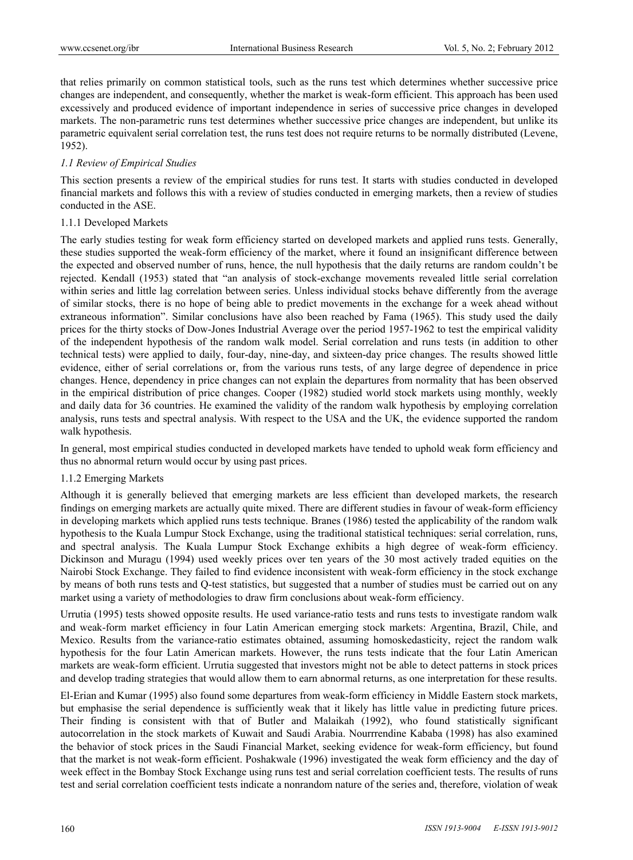that relies primarily on common statistical tools, such as the runs test which determines whether successive price changes are independent, and consequently, whether the market is weak-form efficient. This approach has been used excessively and produced evidence of important independence in series of successive price changes in developed markets. The non-parametric runs test determines whether successive price changes are independent, but unlike its parametric equivalent serial correlation test, the runs test does not require returns to be normally distributed (Levene, 1952).

# *1.1 Review of Empirical Studies*

This section presents a review of the empirical studies for runs test. It starts with studies conducted in developed financial markets and follows this with a review of studies conducted in emerging markets, then a review of studies conducted in the ASE.

# 1.1.1 Developed Markets

The early studies testing for weak form efficiency started on developed markets and applied runs tests. Generally, these studies supported the weak-form efficiency of the market, where it found an insignificant difference between the expected and observed number of runs, hence, the null hypothesis that the daily returns are random couldn't be rejected. Kendall (1953) stated that "an analysis of stock-exchange movements revealed little serial correlation within series and little lag correlation between series. Unless individual stocks behave differently from the average of similar stocks, there is no hope of being able to predict movements in the exchange for a week ahead without extraneous information". Similar conclusions have also been reached by Fama (1965). This study used the daily prices for the thirty stocks of Dow-Jones Industrial Average over the period 1957-1962 to test the empirical validity of the independent hypothesis of the random walk model. Serial correlation and runs tests (in addition to other technical tests) were applied to daily, four-day, nine-day, and sixteen-day price changes. The results showed little evidence, either of serial correlations or, from the various runs tests, of any large degree of dependence in price changes. Hence, dependency in price changes can not explain the departures from normality that has been observed in the empirical distribution of price changes. Cooper (1982) studied world stock markets using monthly, weekly and daily data for 36 countries. He examined the validity of the random walk hypothesis by employing correlation analysis, runs tests and spectral analysis. With respect to the USA and the UK, the evidence supported the random walk hypothesis.

In general, most empirical studies conducted in developed markets have tended to uphold weak form efficiency and thus no abnormal return would occur by using past prices.

# 1.1.2 Emerging Markets

Although it is generally believed that emerging markets are less efficient than developed markets, the research findings on emerging markets are actually quite mixed. There are different studies in favour of weak-form efficiency in developing markets which applied runs tests technique. Branes (1986) tested the applicability of the random walk hypothesis to the Kuala Lumpur Stock Exchange, using the traditional statistical techniques: serial correlation, runs, and spectral analysis. The Kuala Lumpur Stock Exchange exhibits a high degree of weak-form efficiency. Dickinson and Muragu (1994) used weekly prices over ten years of the 30 most actively traded equities on the Nairobi Stock Exchange. They failed to find evidence inconsistent with weak-form efficiency in the stock exchange by means of both runs tests and Q-test statistics, but suggested that a number of studies must be carried out on any market using a variety of methodologies to draw firm conclusions about weak-form efficiency.

Urrutia (1995) tests showed opposite results. He used variance-ratio tests and runs tests to investigate random walk and weak-form market efficiency in four Latin American emerging stock markets: Argentina, Brazil, Chile, and Mexico. Results from the variance-ratio estimates obtained, assuming homoskedasticity, reject the random walk hypothesis for the four Latin American markets. However, the runs tests indicate that the four Latin American markets are weak-form efficient. Urrutia suggested that investors might not be able to detect patterns in stock prices and develop trading strategies that would allow them to earn abnormal returns, as one interpretation for these results.

El-Erian and Kumar (1995) also found some departures from weak-form efficiency in Middle Eastern stock markets, but emphasise the serial dependence is sufficiently weak that it likely has little value in predicting future prices. Their finding is consistent with that of Butler and Malaikah (1992), who found statistically significant autocorrelation in the stock markets of Kuwait and Saudi Arabia. Nourrrendine Kababa (1998) has also examined the behavior of stock prices in the Saudi Financial Market, seeking evidence for weak-form efficiency, but found that the market is not weak-form efficient. Poshakwale (1996) investigated the weak form efficiency and the day of week effect in the Bombay Stock Exchange using runs test and serial correlation coefficient tests. The results of runs test and serial correlation coefficient tests indicate a nonrandom nature of the series and, therefore, violation of weak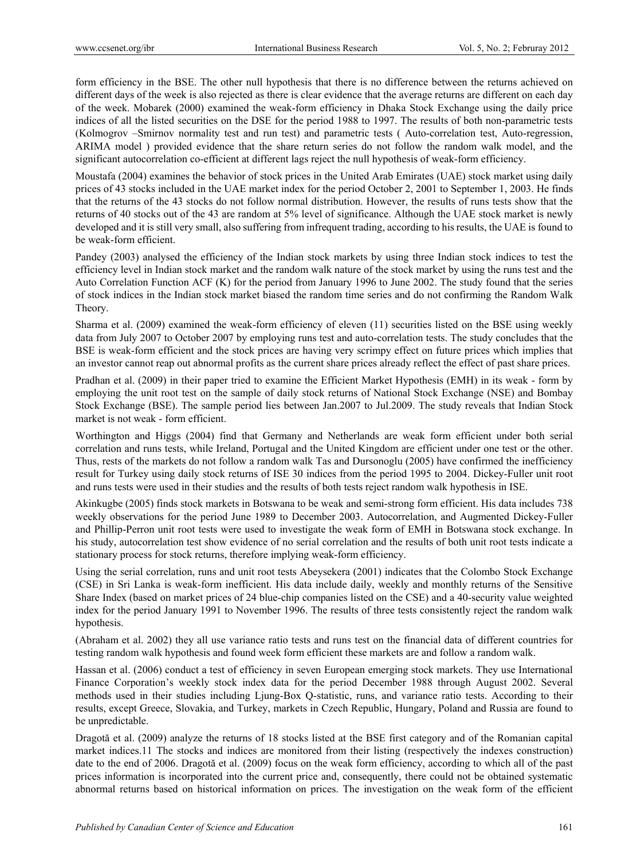form efficiency in the BSE. The other null hypothesis that there is no difference between the returns achieved on different days of the week is also rejected as there is clear evidence that the average returns are different on each day of the week. Mobarek (2000) examined the weak-form efficiency in Dhaka Stock Exchange using the daily price indices of all the listed securities on the DSE for the period 1988 to 1997. The results of both non-parametric tests (Kolmogrov –Smirnov normality test and run test) and parametric tests ( Auto-correlation test, Auto-regression, ARIMA model ) provided evidence that the share return series do not follow the random walk model, and the significant autocorrelation co-efficient at different lags reject the null hypothesis of weak-form efficiency.

Moustafa (2004) examines the behavior of stock prices in the United Arab Emirates (UAE) stock market using daily prices of 43 stocks included in the UAE market index for the period October 2, 2001 to September 1, 2003. He finds that the returns of the 43 stocks do not follow normal distribution. However, the results of runs tests show that the returns of 40 stocks out of the 43 are random at 5% level of significance. Although the UAE stock market is newly developed and it is still very small, also suffering from infrequent trading, according to his results, the UAE is found to be weak-form efficient.

Pandey (2003) analysed the efficiency of the Indian stock markets by using three Indian stock indices to test the efficiency level in Indian stock market and the random walk nature of the stock market by using the runs test and the Auto Correlation Function ACF (K) for the period from January 1996 to June 2002. The study found that the series of stock indices in the Indian stock market biased the random time series and do not confirming the Random Walk Theory.

Sharma et al. (2009) examined the weak-form efficiency of eleven (11) securities listed on the BSE using weekly data from July 2007 to October 2007 by employing runs test and auto-correlation tests. The study concludes that the BSE is weak-form efficient and the stock prices are having very scrimpy effect on future prices which implies that an investor cannot reap out abnormal profits as the current share prices already reflect the effect of past share prices.

Pradhan et al. (2009) in their paper tried to examine the Efficient Market Hypothesis (EMH) in its weak - form by employing the unit root test on the sample of daily stock returns of National Stock Exchange (NSE) and Bombay Stock Exchange (BSE). The sample period lies between Jan.2007 to Jul.2009. The study reveals that Indian Stock market is not weak - form efficient.

Worthington and Higgs (2004) find that Germany and Netherlands are weak form efficient under both serial correlation and runs tests, while Ireland, Portugal and the United Kingdom are efficient under one test or the other. Thus, rests of the markets do not follow a random walk Tas and Dursonoglu (2005) have confirmed the inefficiency result for Turkey using daily stock returns of ISE 30 indices from the period 1995 to 2004. Dickey-Fuller unit root and runs tests were used in their studies and the results of both tests reject random walk hypothesis in ISE.

Akinkugbe (2005) finds stock markets in Botswana to be weak and semi-strong form efficient. His data includes 738 weekly observations for the period June 1989 to December 2003. Autocorrelation, and Augmented Dickey-Fuller and Phillip-Perron unit root tests were used to investigate the weak form of EMH in Botswana stock exchange. In his study, autocorrelation test show evidence of no serial correlation and the results of both unit root tests indicate a stationary process for stock returns, therefore implying weak-form efficiency.

Using the serial correlation, runs and unit root tests Abeysekera (2001) indicates that the Colombo Stock Exchange (CSE) in Sri Lanka is weak-form inefficient. His data include daily, weekly and monthly returns of the Sensitive Share Index (based on market prices of 24 blue-chip companies listed on the CSE) and a 40-security value weighted index for the period January 1991 to November 1996. The results of three tests consistently reject the random walk hypothesis.

(Abraham et al. 2002) they all use variance ratio tests and runs test on the financial data of different countries for testing random walk hypothesis and found week form efficient these markets are and follow a random walk.

Hassan et al. (2006) conduct a test of efficiency in seven European emerging stock markets. They use International Finance Corporation's weekly stock index data for the period December 1988 through August 2002. Several methods used in their studies including Ljung-Box Q-statistic, runs, and variance ratio tests. According to their results, except Greece, Slovakia, and Turkey, markets in Czech Republic, Hungary, Poland and Russia are found to be unpredictable.

Dragotă et al. (2009) analyze the returns of 18 stocks listed at the BSE first category and of the Romanian capital market indices.11 The stocks and indices are monitored from their listing (respectively the indexes construction) date to the end of 2006. Dragotă et al. (2009) focus on the weak form efficiency, according to which all of the past prices information is incorporated into the current price and, consequently, there could not be obtained systematic abnormal returns based on historical information on prices. The investigation on the weak form of the efficient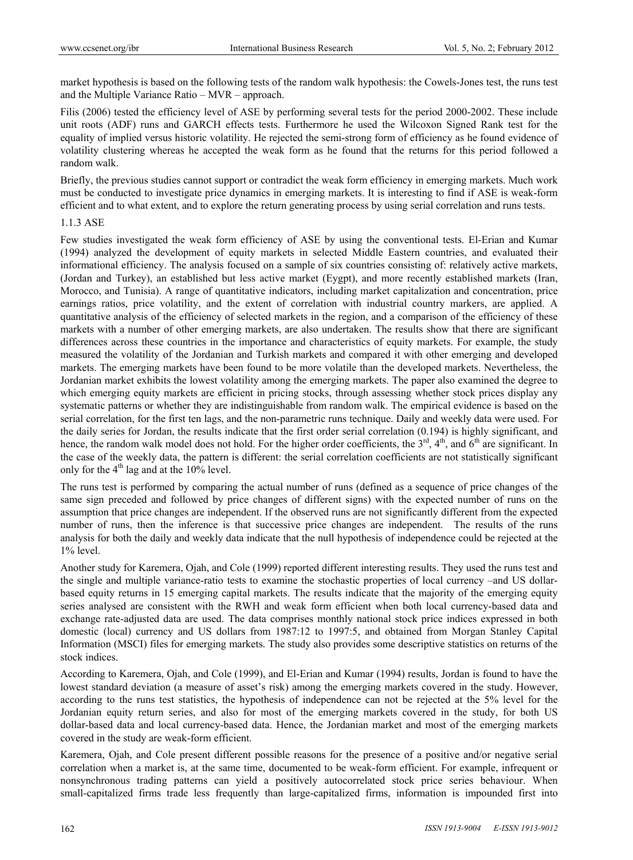market hypothesis is based on the following tests of the random walk hypothesis: the Cowels-Jones test, the runs test and the Multiple Variance Ratio – MVR – approach.

Filis (2006) tested the efficiency level of ASE by performing several tests for the period 2000-2002. These include unit roots (ADF) runs and GARCH effects tests. Furthermore he used the Wilcoxon Signed Rank test for the equality of implied versus historic volatility. He rejected the semi-strong form of efficiency as he found evidence of volatility clustering whereas he accepted the weak form as he found that the returns for this period followed a random walk.

Briefly, the previous studies cannot support or contradict the weak form efficiency in emerging markets. Much work must be conducted to investigate price dynamics in emerging markets. It is interesting to find if ASE is weak-form efficient and to what extent, and to explore the return generating process by using serial correlation and runs tests.

#### 1.1.3 ASE

Few studies investigated the weak form efficiency of ASE by using the conventional tests. El-Erian and Kumar (1994) analyzed the development of equity markets in selected Middle Eastern countries, and evaluated their informational efficiency. The analysis focused on a sample of six countries consisting of: relatively active markets, (Jordan and Turkey), an established but less active market (Eygpt), and more recently established markets (Iran, Morocco, and Tunisia). A range of quantitative indicators, including market capitalization and concentration, price earnings ratios, price volatility, and the extent of correlation with industrial country markers, are applied. A quantitative analysis of the efficiency of selected markets in the region, and a comparison of the efficiency of these markets with a number of other emerging markets, are also undertaken. The results show that there are significant differences across these countries in the importance and characteristics of equity markets. For example, the study measured the volatility of the Jordanian and Turkish markets and compared it with other emerging and developed markets. The emerging markets have been found to be more volatile than the developed markets. Nevertheless, the Jordanian market exhibits the lowest volatility among the emerging markets. The paper also examined the degree to which emerging equity markets are efficient in pricing stocks, through assessing whether stock prices display any systematic patterns or whether they are indistinguishable from random walk. The empirical evidence is based on the serial correlation, for the first ten lags, and the non-parametric runs technique. Daily and weekly data were used. For the daily series for Jordan, the results indicate that the first order serial correlation (0.194) is highly significant, and hence, the random walk model does not hold. For the higher order coefficients, the  $3^{rd}$ ,  $4^{th}$ , and  $6^{th}$  are significant. In the case of the weekly data, the pattern is different: the serial correlation coefficients are not statistically significant only for the  $4<sup>th</sup>$  lag and at the 10% level.

The runs test is performed by comparing the actual number of runs (defined as a sequence of price changes of the same sign preceded and followed by price changes of different signs) with the expected number of runs on the assumption that price changes are independent. If the observed runs are not significantly different from the expected number of runs, then the inference is that successive price changes are independent. The results of the runs analysis for both the daily and weekly data indicate that the null hypothesis of independence could be rejected at the 1% level.

Another study for Karemera, Ojah, and Cole (1999) reported different interesting results. They used the runs test and the single and multiple variance-ratio tests to examine the stochastic properties of local currency –and US dollarbased equity returns in 15 emerging capital markets. The results indicate that the majority of the emerging equity series analysed are consistent with the RWH and weak form efficient when both local currency-based data and exchange rate-adjusted data are used. The data comprises monthly national stock price indices expressed in both domestic (local) currency and US dollars from 1987:12 to 1997:5, and obtained from Morgan Stanley Capital Information (MSCI) files for emerging markets. The study also provides some descriptive statistics on returns of the stock indices.

According to Karemera, Ojah, and Cole (1999), and El-Erian and Kumar (1994) results, Jordan is found to have the lowest standard deviation (a measure of asset's risk) among the emerging markets covered in the study. However, according to the runs test statistics, the hypothesis of independence can not be rejected at the 5% level for the Jordanian equity return series, and also for most of the emerging markets covered in the study, for both US dollar-based data and local currency-based data. Hence, the Jordanian market and most of the emerging markets covered in the study are weak-form efficient.

Karemera, Ojah, and Cole present different possible reasons for the presence of a positive and/or negative serial correlation when a market is, at the same time, documented to be weak-form efficient. For example, infrequent or nonsynchronous trading patterns can yield a positively autocorrelated stock price series behaviour. When small-capitalized firms trade less frequently than large-capitalized firms, information is impounded first into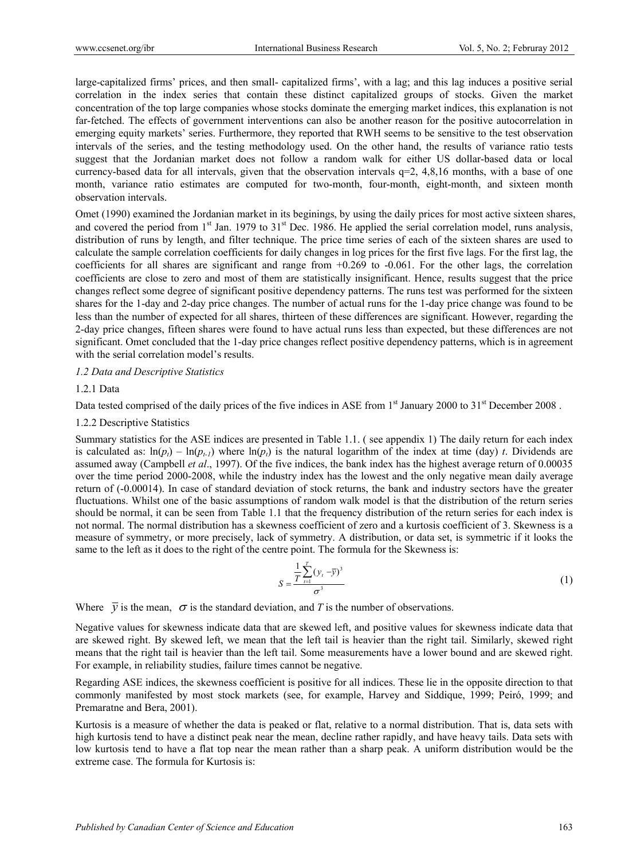large-capitalized firms' prices, and then small- capitalized firms', with a lag; and this lag induces a positive serial correlation in the index series that contain these distinct capitalized groups of stocks. Given the market concentration of the top large companies whose stocks dominate the emerging market indices, this explanation is not far-fetched. The effects of government interventions can also be another reason for the positive autocorrelation in emerging equity markets' series. Furthermore, they reported that RWH seems to be sensitive to the test observation intervals of the series, and the testing methodology used. On the other hand, the results of variance ratio tests suggest that the Jordanian market does not follow a random walk for either US dollar-based data or local currency-based data for all intervals, given that the observation intervals  $q=2$ , 4,8,16 months, with a base of one month, variance ratio estimates are computed for two-month, four-month, eight-month, and sixteen month observation intervals.

Omet (1990) examined the Jordanian market in its beginings, by using the daily prices for most active sixteen shares, and covered the period from  $1<sup>st</sup>$  Jan. 1979 to  $31<sup>st</sup>$  Dec. 1986. He applied the serial correlation model, runs analysis, distribution of runs by length, and filter technique. The price time series of each of the sixteen shares are used to calculate the sample correlation coefficients for daily changes in log prices for the first five lags. For the first lag, the coefficients for all shares are significant and range from +0.269 to -0.061. For the other lags, the correlation coefficients are close to zero and most of them are statistically insignificant. Hence, results suggest that the price changes reflect some degree of significant positive dependency patterns. The runs test was performed for the sixteen shares for the 1-day and 2-day price changes. The number of actual runs for the 1-day price change was found to be less than the number of expected for all shares, thirteen of these differences are significant. However, regarding the 2-day price changes, fifteen shares were found to have actual runs less than expected, but these differences are not significant. Omet concluded that the 1-day price changes reflect positive dependency patterns, which is in agreement with the serial correlation model's results.

# *1.2 Data and Descriptive Statistics*

# 1.2.1 Data

Data tested comprised of the daily prices of the five indices in ASE from 1<sup>st</sup> January 2000 to 31<sup>st</sup> December 2008.

#### 1.2.2 Descriptive Statistics

Summary statistics for the ASE indices are presented in Table 1.1. ( see appendix 1) The daily return for each index is calculated as:  $ln(p_i) - ln(p_{t-1})$  where  $ln(p_i)$  is the natural logarithm of the index at time (day) *t*. Dividends are assumed away (Campbell *et al*., 1997). Of the five indices, the bank index has the highest average return of 0.00035 over the time period 2000-2008, while the industry index has the lowest and the only negative mean daily average return of (-0.00014). In case of standard deviation of stock returns, the bank and industry sectors have the greater fluctuations. Whilst one of the basic assumptions of random walk model is that the distribution of the return series should be normal, it can be seen from Table 1.1 that the frequency distribution of the return series for each index is not normal. The normal distribution has a skewness coefficient of zero and a kurtosis coefficient of 3. Skewness is a measure of symmetry, or more precisely, lack of symmetry. A distribution, or data set, is symmetric if it looks the same to the left as it does to the right of the centre point. The formula for the Skewness is:

$$
S = \frac{\frac{1}{T} \sum_{t=1}^{T} (y_t - \bar{y})^3}{\sigma^3}
$$
 (1)

Where  $\bar{y}$  is the mean,  $\sigma$  is the standard deviation, and *T* is the number of observations.

Negative values for skewness indicate data that are skewed left, and positive values for skewness indicate data that are skewed right. By skewed left, we mean that the left tail is heavier than the right tail. Similarly, skewed right means that the right tail is heavier than the left tail. Some measurements have a lower bound and are skewed right. For example, in reliability studies, failure times cannot be negative.

Regarding ASE indices, the skewness coefficient is positive for all indices. These lie in the opposite direction to that commonly manifested by most stock markets (see, for example, Harvey and Siddique, 1999; Peiró, 1999; and Premaratne and Bera, 2001).

Kurtosis is a measure of whether the data is peaked or flat, relative to a normal distribution. That is, data sets with high kurtosis tend to have a distinct peak near the mean, decline rather rapidly, and have heavy tails. Data sets with low kurtosis tend to have a flat top near the mean rather than a sharp peak. A uniform distribution would be the extreme case. The formula for Kurtosis is: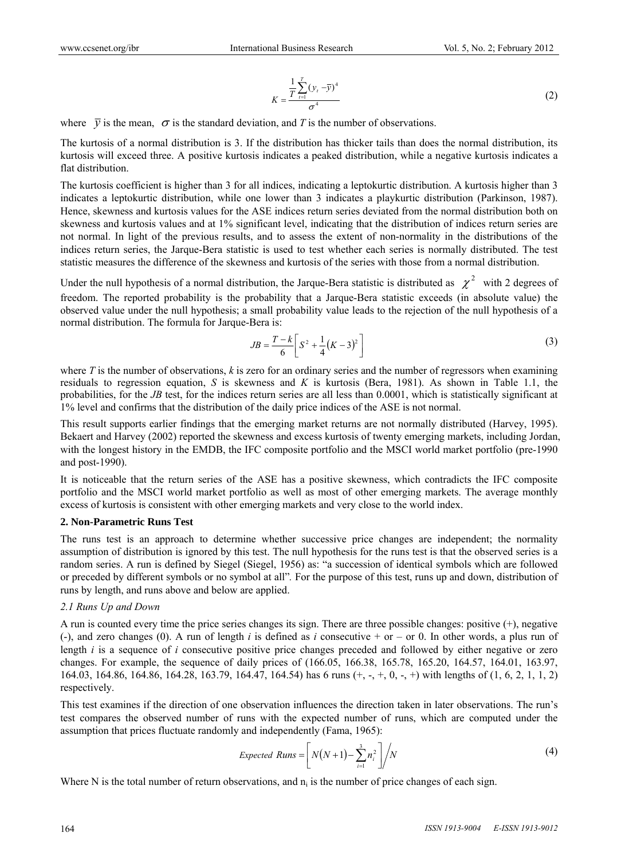$$
K = \frac{\frac{1}{T} \sum_{t=1}^{T} (y_t - \overline{y})^4}{\sigma^4}
$$
 (2)

where  $\bar{v}$  is the mean,  $\sigma$  is the standard deviation, and *T* is the number of observations.

The kurtosis of a normal distribution is 3. If the distribution has thicker tails than does the normal distribution, its kurtosis will exceed three. A positive kurtosis indicates a peaked distribution, while a negative kurtosis indicates a flat distribution.

The kurtosis coefficient is higher than 3 for all indices, indicating a leptokurtic distribution. A kurtosis higher than 3 indicates a leptokurtic distribution, while one lower than 3 indicates a playkurtic distribution (Parkinson, 1987). Hence, skewness and kurtosis values for the ASE indices return series deviated from the normal distribution both on skewness and kurtosis values and at 1% significant level, indicating that the distribution of indices return series are not normal. In light of the previous results, and to assess the extent of non-normality in the distributions of the indices return series, the Jarque-Bera statistic is used to test whether each series is normally distributed. The test statistic measures the difference of the skewness and kurtosis of the series with those from a normal distribution.

Under the null hypothesis of a normal distribution, the Jarque-Bera statistic is distributed as  $\chi^2$  with 2 degrees of freedom. The reported probability is the probability that a Jarque-Bera statistic exceeds (in absolute value) the observed value under the null hypothesis; a small probability value leads to the rejection of the null hypothesis of a normal distribution. The formula for Jarque-Bera is:

$$
JB = \frac{T - k}{6} \left[ S^2 + \frac{1}{4} (K - 3)^2 \right]
$$
 (3)

where *T* is the number of observations, *k* is zero for an ordinary series and the number of regressors when examining residuals to regression equation, *S* is skewness and *K* is kurtosis (Bera, 1981). As shown in Table 1.1, the probabilities, for the *JB* test, for the indices return series are all less than 0.0001, which is statistically significant at 1% level and confirms that the distribution of the daily price indices of the ASE is not normal.

This result supports earlier findings that the emerging market returns are not normally distributed (Harvey, 1995). Bekaert and Harvey (2002) reported the skewness and excess kurtosis of twenty emerging markets, including Jordan, with the longest history in the EMDB, the IFC composite portfolio and the MSCI world market portfolio (pre-1990 and post-1990).

It is noticeable that the return series of the ASE has a positive skewness, which contradicts the IFC composite portfolio and the MSCI world market portfolio as well as most of other emerging markets. The average monthly excess of kurtosis is consistent with other emerging markets and very close to the world index.

#### **2. Non-Parametric Runs Test**

The runs test is an approach to determine whether successive price changes are independent; the normality assumption of distribution is ignored by this test. The null hypothesis for the runs test is that the observed series is a random series. A run is defined by Siegel (Siegel, 1956) as: "a succession of identical symbols which are followed or preceded by different symbols or no symbol at all"*.* For the purpose of this test, runs up and down, distribution of runs by length, and runs above and below are applied.

# *2.1 Runs Up and Down*

A run is counted every time the price series changes its sign. There are three possible changes: positive (+), negative (-), and zero changes (0). A run of length *i* is defined as *i* consecutive + or – or 0. In other words, a plus run of length *i* is a sequence of *i* consecutive positive price changes preceded and followed by either negative or zero changes. For example, the sequence of daily prices of (166.05, 166.38, 165.78, 165.20, 164.57, 164.01, 163.97, 164.03, 164.86, 164.86, 164.28, 163.79, 164.47, 164.54) has 6 runs (+, -, +, 0, -, +) with lengths of (1, 6, 2, 1, 1, 2) respectively.

This test examines if the direction of one observation influences the direction taken in later observations. The run's test compares the observed number of runs with the expected number of runs, which are computed under the assumption that prices fluctuate randomly and independently (Fama, 1965):

$$
Expected\;Runs = \left[ N(N+1) - \sum_{i=1}^{3} n_i^2 \right] / N \tag{4}
$$

Where N is the total number of return observations, and  $n_i$  is the number of price changes of each sign.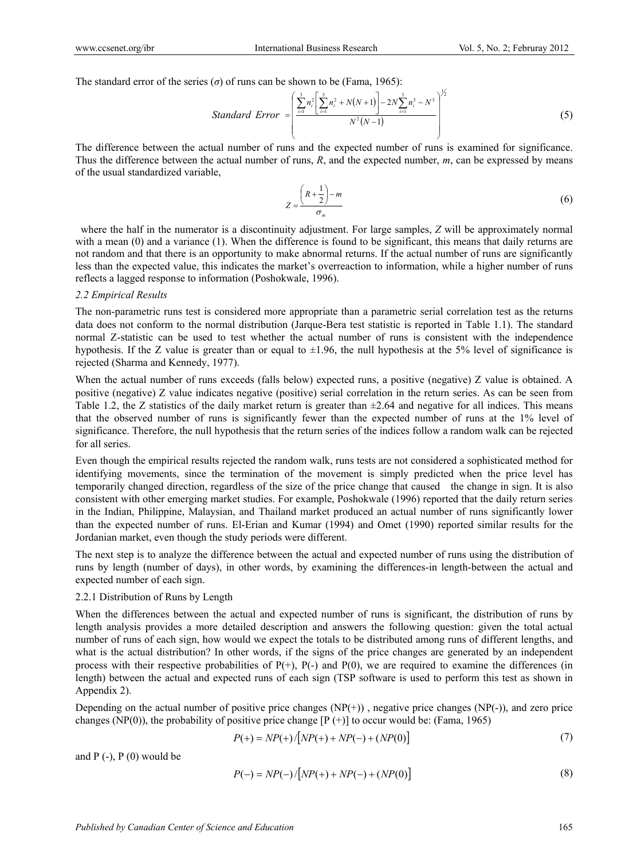The standard error of the series  $(\sigma)$  of runs can be shown to be (Fama, 1965):

Standard Error 
$$
= \left(\frac{\sum_{i=1}^{3} n_i^2 \left[\sum_{i=1}^{3} n_i^2 + N(N+1)\right] - 2N \sum_{i=1}^{3} n_i^3 - N^3}{N^2(N-1)}\right)^{1/2}
$$
(5)

The difference between the actual number of runs and the expected number of runs is examined for significance. Thus the difference between the actual number of runs, *R*, and the expected number, *m*, can be expressed by means of the usual standardized variable,

$$
Z = \frac{\left(R + \frac{1}{2}\right) - m}{\sigma_m} \tag{6}
$$

where the half in the numerator is a discontinuity adjustment. For large samples, *Z* will be approximately normal with a mean (0) and a variance (1). When the difference is found to be significant, this means that daily returns are not random and that there is an opportunity to make abnormal returns. If the actual number of runs are significantly less than the expected value, this indicates the market's overreaction to information, while a higher number of runs reflects a lagged response to information (Poshokwale, 1996).

#### *2.2 Empirical Results*

The non-parametric runs test is considered more appropriate than a parametric serial correlation test as the returns data does not conform to the normal distribution (Jarque-Bera test statistic is reported in Table 1.1). The standard normal Z-statistic can be used to test whether the actual number of runs is consistent with the independence hypothesis. If the Z value is greater than or equal to  $\pm 1.96$ , the null hypothesis at the 5% level of significance is rejected (Sharma and Kennedy, 1977).

When the actual number of runs exceeds (falls below) expected runs, a positive (negative) Z value is obtained. A positive (negative) Z value indicates negative (positive) serial correlation in the return series. As can be seen from Table 1.2, the Z statistics of the daily market return is greater than  $\pm 2.64$  and negative for all indices. This means that the observed number of runs is significantly fewer than the expected number of runs at the 1% level of significance. Therefore, the null hypothesis that the return series of the indices follow a random walk can be rejected for all series.

Even though the empirical results rejected the random walk, runs tests are not considered a sophisticated method for identifying movements, since the termination of the movement is simply predicted when the price level has temporarily changed direction, regardless of the size of the price change that caused the change in sign. It is also consistent with other emerging market studies. For example, Poshokwale (1996) reported that the daily return series in the Indian, Philippine, Malaysian, and Thailand market produced an actual number of runs significantly lower than the expected number of runs. El-Erian and Kumar (1994) and Omet (1990) reported similar results for the Jordanian market, even though the study periods were different.

The next step is to analyze the difference between the actual and expected number of runs using the distribution of runs by length (number of days), in other words, by examining the differences-in length-between the actual and expected number of each sign.

# 2.2.1 Distribution of Runs by Length

When the differences between the actual and expected number of runs is significant, the distribution of runs by length analysis provides a more detailed description and answers the following question: given the total actual number of runs of each sign, how would we expect the totals to be distributed among runs of different lengths, and what is the actual distribution? In other words, if the signs of the price changes are generated by an independent process with their respective probabilities of  $P(+)$ ,  $P(-)$  and  $P(0)$ , we are required to examine the differences (in length) between the actual and expected runs of each sign (TSP software is used to perform this test as shown in Appendix 2).

Depending on the actual number of positive price changes  $(NP(+))$ , negative price changes  $(NP(-))$ , and zero price changes (NP(0)), the probability of positive price change  $[P (+)]$  to occur would be: (Fama, 1965)

$$
P(+) = NP(+)/[NP(+) + NP(-) + (NP(0)]
$$
\n(7)

and  $P(-)$ ,  $P(0)$  would be

$$
P(-) = NP(-)/[NP(+) + NP(-) + (NP(0)]
$$
\n(8)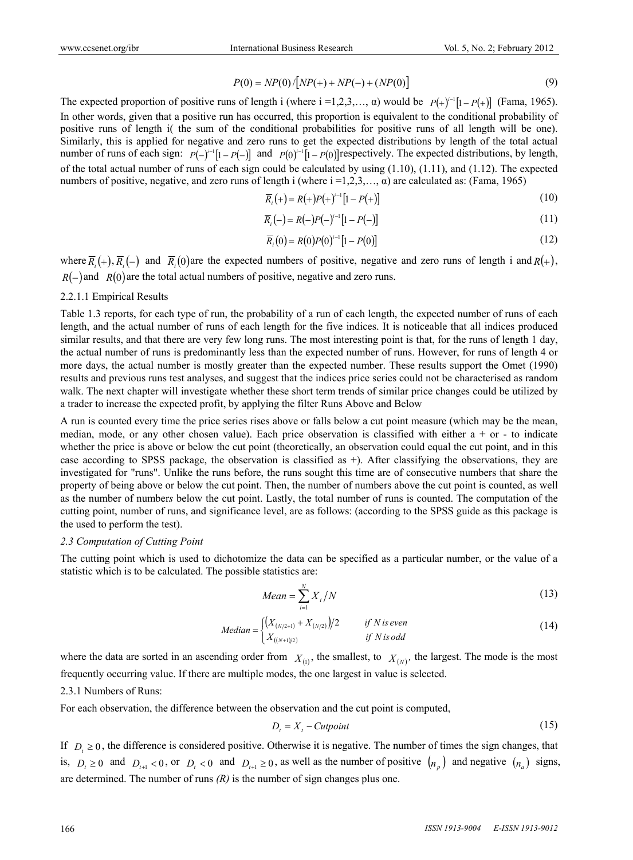$$
P(0) = NP(0)/[NP(+) + NP(-) + (NP(0)]
$$
\n(9)

The expected proportion of positive runs of length i (where  $i = 1, 2, 3, \ldots, \alpha$ ) would be  $P(+)^{i-1}[1 - P(+)]$  (Fama, 1965). In other words, given that a positive run has occurred, this proportion is equivalent to the conditional probability of positive runs of length i( the sum of the conditional probabilities for positive runs of all length will be one). Similarly, this is applied for negative and zero runs to get the expected distributions by length of the total actual number of runs of each sign:  $P(-)^{i-1}[1 - P(-)]$  and  $P(0)^{i-1}[1 - P(0)]$  respectively. The expected distributions, by length, of the total actual number of runs of each sign could be calculated by using  $(1.10)$ ,  $(1.11)$ , and  $(1.12)$ . The expected numbers of positive, negative, and zero runs of length i (where i =1,2,3,…, α) are calculated as: (Fama, 1965)

$$
\overline{R}_{i}(+)=R(+)P(+)^{i-1}[1-P(+)]
$$
\n(10)

$$
\overline{R}_{i}(-) = R(-)P(-)^{i-1}[1 - P(-)] \tag{11}
$$

$$
\overline{R}_i(0) = R(0)P(0)^{i-1}[1 - P(0)] \tag{12}
$$

where  $\overline{R_i}(+)$ ,  $\overline{R_i}(-)$  and  $\overline{R_i}(0)$  are the expected numbers of positive, negative and zero runs of length i and  $R(+)$ ,  $R(-)$  and  $R(0)$  are the total actual numbers of positive, negative and zero runs.

#### 2.2.1.1 Empirical Results

Table 1.3 reports, for each type of run, the probability of a run of each length, the expected number of runs of each length, and the actual number of runs of each length for the five indices. It is noticeable that all indices produced similar results, and that there are very few long runs. The most interesting point is that, for the runs of length 1 day, the actual number of runs is predominantly less than the expected number of runs. However, for runs of length 4 or more days, the actual number is mostly greater than the expected number. These results support the Omet (1990) results and previous runs test analyses, and suggest that the indices price series could not be characterised as random walk. The next chapter will investigate whether these short term trends of similar price changes could be utilized by a trader to increase the expected profit, by applying the filter Runs Above and Below

A run is counted every time the price series rises above or falls below a cut point measure (which may be the mean, median, mode, or any other chosen value). Each price observation is classified with either  $a + or - to$  indicate whether the price is above or below the cut point (theoretically, an observation could equal the cut point, and in this case according to SPSS package, the observation is classified as  $+$ ). After classifying the observations, they are investigated for "runs". Unlike the runs before, the runs sought this time are of consecutive numbers that share the property of being above or below the cut point. Then, the number of numbers above the cut point is counted, as well as the number of number*s* below the cut point. Lastly, the total number of runs is counted. The computation of the cutting point, number of runs, and significance level, are as follows: (according to the SPSS guide as this package is the used to perform the test).

#### *2.3 Computation of Cutting Point*

The cutting point which is used to dichotomize the data can be specified as a particular number, or the value of a statistic which is to be calculated. The possible statistics are:

$$
Mean = \sum_{i=1}^{N} X_i / N \tag{13}
$$

Median = 
$$
\begin{cases} (X_{(N/2+1)} + X_{(N/2)})/2 & \text{if } N \text{ is even} \\ X_{((N+1)/2)} & \text{if } N \text{ is odd} \end{cases}
$$
 (14)

where the data are sorted in an ascending order from  $X_{(1)}$ , the smallest, to  $X_{(N)}$ , the largest. The mode is the most frequently occurring value. If there are multiple modes, the one largest in value is selected.

#### 2.3.1 Numbers of Runs:

For each observation, the difference between the observation and the cut point is computed,

$$
D_t = X_t - \text{Cutpoint} \tag{15}
$$

If  $D_t \geq 0$ , the difference is considered positive. Otherwise it is negative. The number of times the sign changes, that is,  $D_t \ge 0$  and  $D_{t+1} < 0$ , or  $D_t < 0$  and  $D_{t+1} \ge 0$ , as well as the number of positive  $\binom{n}{n}$  and negative  $\binom{n}{n}$  signs, are determined. The number of runs *(R)* is the number of sign changes plus one.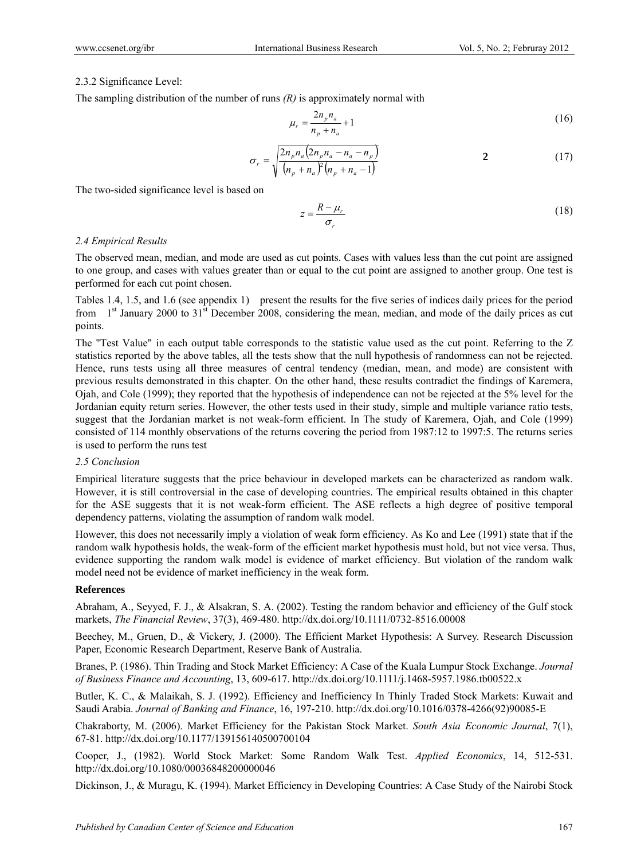# 2.3.2 Significance Level:

The sampling distribution of the number of runs *(R)* is approximately normal with

$$
\mu_r = \frac{2n_p n_a}{n_p + n_a} + 1\tag{16}
$$

$$
\sigma_r = \sqrt{\frac{2n_p n_a (2n_p n_a - n_a - n_p)}{(n_p + n_a)^2 (n_p + n_a - 1)}}
$$
  $2$  (17)

The two-sided significance level is based on

$$
z = \frac{R - \mu_r}{\sigma_r} \tag{18}
$$

# *2.4 Empirical Results*

The observed mean, median, and mode are used as cut points. Cases with values less than the cut point are assigned to one group, and cases with values greater than or equal to the cut point are assigned to another group. One test is performed for each cut point chosen.

Tables 1.4, 1.5, and 1.6 (see appendix 1) present the results for the five series of indices daily prices for the period from  $1<sup>st</sup>$  January 2000 to 31<sup>st</sup> December 2008, considering the mean, median, and mode of the daily prices as cut points.

The "Test Value" in each output table corresponds to the statistic value used as the cut point. Referring to the Z statistics reported by the above tables, all the tests show that the null hypothesis of randomness can not be rejected. Hence, runs tests using all three measures of central tendency (median, mean, and mode) are consistent with previous results demonstrated in this chapter. On the other hand, these results contradict the findings of Karemera, Ojah, and Cole (1999); they reported that the hypothesis of independence can not be rejected at the 5% level for the Jordanian equity return series. However, the other tests used in their study, simple and multiple variance ratio tests, suggest that the Jordanian market is not weak-form efficient. In The study of Karemera, Ojah, and Cole (1999) consisted of 114 monthly observations of the returns covering the period from 1987:12 to 1997:5. The returns series is used to perform the runs test

# *2.5 Conclusion*

Empirical literature suggests that the price behaviour in developed markets can be characterized as random walk. However, it is still controversial in the case of developing countries. The empirical results obtained in this chapter for the ASE suggests that it is not weak-form efficient. The ASE reflects a high degree of positive temporal dependency patterns, violating the assumption of random walk model.

However, this does not necessarily imply a violation of weak form efficiency. As Ko and Lee (1991) state that if the random walk hypothesis holds, the weak-form of the efficient market hypothesis must hold, but not vice versa. Thus, evidence supporting the random walk model is evidence of market efficiency. But violation of the random walk model need not be evidence of market inefficiency in the weak form.

# **References**

Abraham, A., Seyyed, F. J., & Alsakran, S. A. (2002). Testing the random behavior and efficiency of the Gulf stock markets, *The Financial Review*, 37(3), 469-480. http://dx.doi.org/10.1111/0732-8516.00008

Beechey, M., Gruen, D., & Vickery, J. (2000). The Efficient Market Hypothesis: A Survey. Research Discussion Paper, Economic Research Department, Reserve Bank of Australia.

Branes, P. (1986). Thin Trading and Stock Market Efficiency: A Case of the Kuala Lumpur Stock Exchange. *Journal of Business Finance and Accounting*, 13, 609-617. http://dx.doi.org/10.1111/j.1468-5957.1986.tb00522.x

Butler, K. C., & Malaikah, S. J. (1992). Efficiency and Inefficiency In Thinly Traded Stock Markets: Kuwait and Saudi Arabia. *Journal of Banking and Finance*, 16, 197-210. http://dx.doi.org/10.1016/0378-4266(92)90085-E

Chakraborty, M. (2006). Market Efficiency for the Pakistan Stock Market. *South Asia Economic Journal*, 7(1), 67-81. http://dx.doi.org/10.1177/139156140500700104

Cooper, J., (1982). World Stock Market: Some Random Walk Test. *Applied Economics*, 14, 512-531. http://dx.doi.org/10.1080/00036848200000046

Dickinson, J., & Muragu, K. (1994). Market Efficiency in Developing Countries: A Case Study of the Nairobi Stock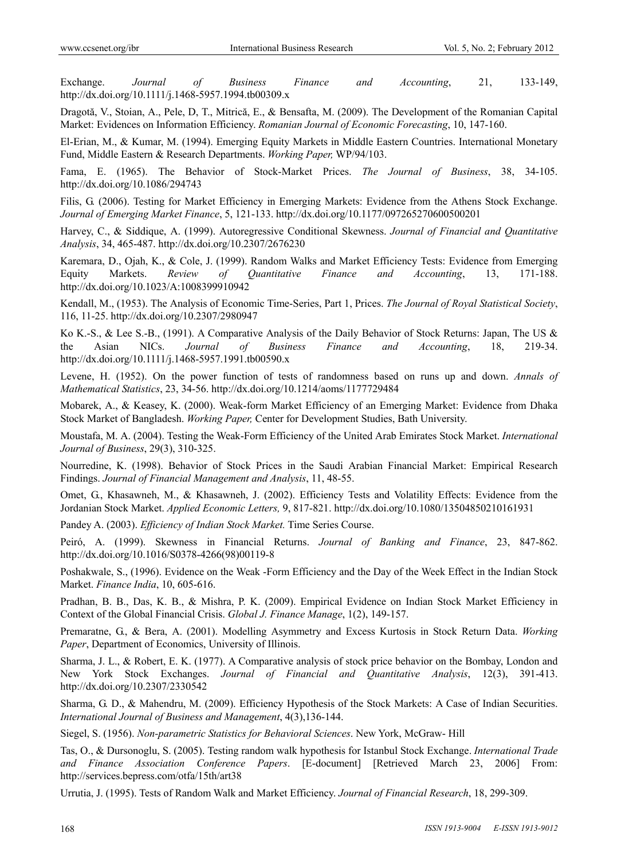Exchange. *Journal of Business Finance and Accounting*, 21, 133-149, http://dx.doi.org/10.1111/j.1468-5957.1994.tb00309.x

Dragotă, V., Stoian, A., Pele, D, T., Mitrică, E., & Bensafta, M. (2009). The Development of the Romanian Capital Market: Evidences on Information Efficiency. *Romanian Journal of Economic Forecasting*, 10, 147-160.

El-Erian, M., & Kumar, M. (1994). Emerging Equity Markets in Middle Eastern Countries. International Monetary Fund, Middle Eastern & Research Departments. *Working Paper,* WP/94/103.

Fama, E. (1965). The Behavior of Stock-Market Prices. *The Journal of Business*, 38, 34-105. http://dx.doi.org/10.1086/294743

Filis, G. (2006). Testing for Market Efficiency in Emerging Markets: Evidence from the Athens Stock Exchange. *Journal of Emerging Market Finance*, 5, 121-133. http://dx.doi.org/10.1177/097265270600500201

Harvey, C., & Siddique, A. (1999). Autoregressive Conditional Skewness. *Journal of Financial and Quantitative Analysis*, 34, 465-487. http://dx.doi.org/10.2307/2676230

Karemara, D., Ojah, K., & Cole, J. (1999). Random Walks and Market Efficiency Tests: Evidence from Emerging Equity Markets. *Review of Quantitative Finance and Accounting*, 13, 171-188. http://dx.doi.org/10.1023/A:1008399910942

Kendall, M., (1953). The Analysis of Economic Time-Series, Part 1, Prices. *The Journal of Royal Statistical Society*, 116, 11-25. http://dx.doi.org/10.2307/2980947

Ko K.-S., & Lee S.-B., (1991). A Comparative Analysis of the Daily Behavior of Stock Returns: Japan, The US & the Asian NICs. *Journal of Business Finance and Accounting*, 18, 219-34. http://dx.doi.org/10.1111/j.1468-5957.1991.tb00590.x

Levene, H. (1952). On the power function of tests of randomness based on runs up and down. *Annals of Mathematical Statistics*, 23, 34-56. http://dx.doi.org/10.1214/aoms/1177729484

Mobarek, A., & Keasey, K. (2000). Weak-form Market Efficiency of an Emerging Market: Evidence from Dhaka Stock Market of Bangladesh. *Working Paper,* Center for Development Studies, Bath University.

Moustafa, M. A. (2004). Testing the Weak-Form Efficiency of the United Arab Emirates Stock Market. *International Journal of Business*, 29(3), 310-325.

Nourredine, K. (1998). Behavior of Stock Prices in the Saudi Arabian Financial Market: Empirical Research Findings. *Journal of Financial Management and Analysis*, 11, 48-55.

Omet, G., Khasawneh, M., & Khasawneh, J. (2002). Efficiency Tests and Volatility Effects: Evidence from the Jordanian Stock Market. *Applied Economic Letters,* 9, 817-821. http://dx.doi.org/10.1080/13504850210161931

Pandey A. (2003). *Efficiency of Indian Stock Market.* Time Series Course.

Peiró, A. (1999). Skewness in Financial Returns. *Journal of Banking and Finance*, 23, 847-862. http://dx.doi.org/10.1016/S0378-4266(98)00119-8

Poshakwale, S., (1996). Evidence on the Weak -Form Efficiency and the Day of the Week Effect in the Indian Stock Market. *Finance India*, 10, 605-616.

Pradhan, B. B., Das, K. B., & Mishra, P. K. (2009). Empirical Evidence on Indian Stock Market Efficiency in Context of the Global Financial Crisis. *Global J. Finance Manage*, 1(2), 149-157.

Premaratne, G., & Bera, A. (2001). Modelling Asymmetry and Excess Kurtosis in Stock Return Data. *Working Paper*, Department of Economics, University of Illinois.

Sharma, J. L., & Robert, E. K. (1977). A Comparative analysis of stock price behavior on the Bombay, London and New York Stock Exchanges. *Journal of Financial and Quantitative Analysis*, 12(3), 391-413. http://dx.doi.org/10.2307/2330542

Sharma, G. D., & Mahendru, M. (2009). Efficiency Hypothesis of the Stock Markets: A Case of Indian Securities. *International Journal of Business and Management*, 4(3),136-144.

Siegel, S. (1956). *Non-parametric Statistics for Behavioral Sciences*. New York, McGraw- Hill

Tas, O., & Dursonoglu, S. (2005). Testing random walk hypothesis for Istanbul Stock Exchange. *International Trade and Finance Association Conference Papers*. [E-document] [Retrieved March 23, 2006] From: http://services.bepress.com/otfa/15th/art38

Urrutia, J. (1995). Tests of Random Walk and Market Efficiency. *Journal of Financial Research*, 18, 299-309.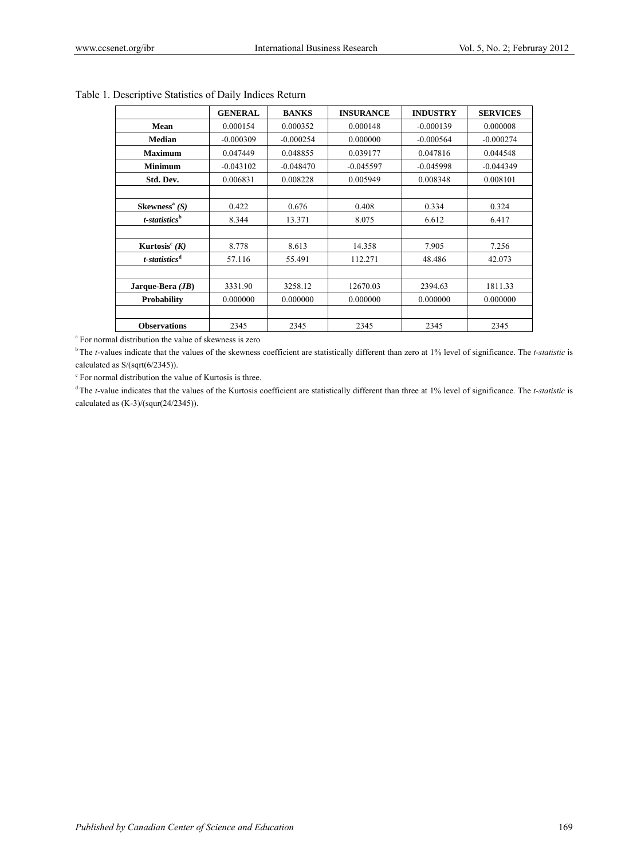|                              | <b>GENERAL</b> | <b>BANKS</b> | <b>INSURANCE</b> | <b>INDUSTRY</b> | <b>SERVICES</b> |
|------------------------------|----------------|--------------|------------------|-----------------|-----------------|
| Mean                         | 0.000154       | 0.000352     | 0.000148         | $-0.000139$     | 0.000008        |
| <b>Median</b>                | $-0.000309$    | $-0.000254$  | 0.000000         | $-0.000564$     | $-0.000274$     |
| <b>Maximum</b>               | 0.047449       | 0.048855     | 0.039177         | 0.047816        | 0.044548        |
| <b>Minimum</b>               | $-0.043102$    | $-0.048470$  | $-0.045597$      | $-0.045998$     | $-0.044349$     |
| Std. Dev.                    | 0.006831       | 0.008228     | 0.005949         | 0.008348        | 0.008101        |
|                              |                |              |                  |                 |                 |
| Skewness <sup>a</sup> $(S)$  | 0.422          | 0.676        | 0.408            | 0.334           | 0.324           |
| $t$ -statistics <sup>b</sup> | 8.344          | 13.371       | 8.075            | 6.612           | 6.417           |
|                              |                |              |                  |                 |                 |
| Kurtosis <sup>c</sup> $(K)$  | 8.778          | 8.613        | 14.358           | 7.905           | 7.256           |
| $t$ -statistics <sup>d</sup> | 57.116         | 55.491       | 112.271          | 48.486          | 42.073          |
|                              |                |              |                  |                 |                 |
| Jarque-Bera $(JB)$           | 3331.90        | 3258.12      | 12670.03         | 2394.63         | 1811.33         |
| Probability                  | 0.000000       | 0.000000     | 0.000000         | 0.000000        | 0.000000        |
|                              |                |              |                  |                 |                 |
| <b>Observations</b>          | 2345           | 2345         | 2345             | 2345            | 2345            |

# Table 1. Descriptive Statistics of Daily Indices Return

a For normal distribution the value of skewness is zero

<sup>b</sup> The *t*-values indicate that the values of the skewness coefficient are statistically different than zero at 1% level of significance. The *t-statistic* is calculated as S/(sqrt(6/2345)).

c For normal distribution the value of Kurtosis is three.

<sup>d</sup> The *t*-value indicates that the values of the Kurtosis coefficient are statistically different than three at 1% level of significance. The *t-statistic* is calculated as  $(K-3)/(square(24/2345)).$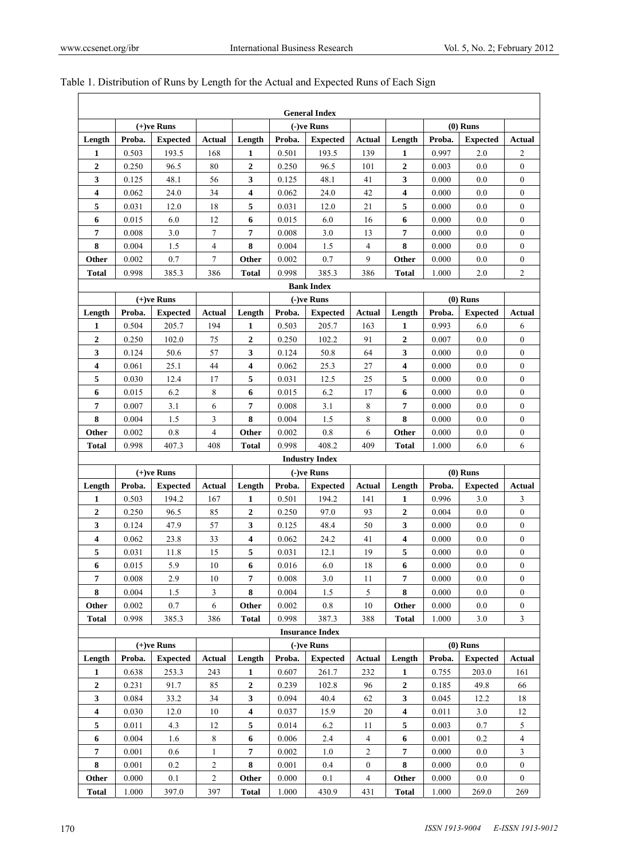|                  |        |                 |                |                         |        | <b>General Index</b>   |                  |                  |        |                 |                  |
|------------------|--------|-----------------|----------------|-------------------------|--------|------------------------|------------------|------------------|--------|-----------------|------------------|
|                  |        | $(+)$ ve Runs   |                |                         |        | $(-)$ ve Runs          |                  |                  |        | $(0)$ Runs      |                  |
| Length           | Proba. | <b>Expected</b> | <b>Actual</b>  | Length                  | Proba. | <b>Expected</b>        | <b>Actual</b>    | Length           | Proba. | <b>Expected</b> | Actual           |
| 1                | 0.503  | 193.5           | 168            | 1                       | 0.501  | 193.5                  | 139              | 1                | 0.997  | 2.0             | 2                |
| $\overline{2}$   | 0.250  | 96.5            | 80             | $\overline{2}$          | 0.250  | 96.5                   | 101              | $\overline{2}$   | 0.003  | 0.0             | $\mathbf{0}$     |
| 3                | 0.125  | 48.1            | 56             | 3                       | 0.125  | 48.1                   | 41               | 3                | 0.000  | 0.0             | $\boldsymbol{0}$ |
| 4                | 0.062  | 24.0            | 34             | $\overline{\mathbf{4}}$ | 0.062  | 24.0                   | 42               | 4                | 0.000  | 0.0             | $\boldsymbol{0}$ |
| 5                | 0.031  | 12.0            | 18             | 5                       | 0.031  | 12.0                   | 21               | 5                | 0.000  | 0.0             | $\boldsymbol{0}$ |
| 6                | 0.015  | 6.0             | 12             | 6                       | 0.015  | 6.0                    | 16               | 6                | 0.000  | 0.0             | $\boldsymbol{0}$ |
| 7                | 0.008  | 3.0             | 7              | 7                       | 0.008  | 3.0                    | 13               | 7                | 0.000  | 0.0             | $\mathbf{0}$     |
| 8                | 0.004  | 1.5             | 4              | 8                       | 0.004  | 1.5                    | $\overline{4}$   | 8                | 0.000  | 0.0             | $\boldsymbol{0}$ |
| Other            | 0.002  | 0.7             | $\tau$         | Other                   | 0.002  | 0.7                    | 9                | Other            | 0.000  | 0.0             | $\boldsymbol{0}$ |
| <b>Total</b>     | 0.998  | 385.3           | 386            | <b>Total</b>            | 0.998  | 385.3                  | 386              | <b>Total</b>     | 1.000  | 2.0             | 2                |
|                  |        |                 |                |                         |        | <b>Bank Index</b>      |                  |                  |        |                 |                  |
|                  |        | $(+)$ ve Runs   |                |                         |        | $(-)$ ve Runs          |                  |                  |        | $(0)$ Runs      |                  |
| Length           | Proba. | <b>Expected</b> | <b>Actual</b>  | Length                  | Proba. | <b>Expected</b>        | <b>Actual</b>    | Length           | Proba. | <b>Expected</b> | Actual           |
| 1                | 0.504  | 205.7           | 194            | 1                       | 0.503  | 205.7                  | 163              | $\mathbf{1}$     | 0.993  | 6.0             | 6                |
| $\overline{2}$   | 0.250  | 102.0           | 75             | $\mathbf{2}$            | 0.250  | 102.2                  | 91               | $\overline{2}$   | 0.007  | 0.0             | $\mathbf{0}$     |
| 3                | 0.124  | 50.6            | 57             | 3                       | 0.124  | 50.8                   | 64               | 3                | 0.000  | 0.0             | $\mathbf{0}$     |
| 4                | 0.061  | 25.1            | 44             | $\overline{\mathbf{4}}$ | 0.062  | 25.3                   | 27               | 4                | 0.000  | 0.0             | $\boldsymbol{0}$ |
| 5                | 0.030  | 12.4            | 17             | 5                       | 0.031  | 12.5                   | 25               | 5                | 0.000  | 0.0             | $\boldsymbol{0}$ |
| 6                | 0.015  | 6.2             | 8              | 6                       | 0.015  | 6.2                    | 17               | 6                | 0.000  | 0.0             | $\mathbf{0}$     |
| 7                | 0.007  | 3.1             | 6              | 7                       | 0.008  | 3.1                    | 8                | 7                | 0.000  | 0.0             | $\boldsymbol{0}$ |
| 8                | 0.004  | 1.5             | 3              | 8                       | 0.004  | 1.5                    | 8                | 8                | 0.000  | 0.0             | $\boldsymbol{0}$ |
| Other            | 0.002  | 0.8             | 4              | Other                   | 0.002  | 0.8                    | 6                | Other            | 0.000  | 0.0             | $\boldsymbol{0}$ |
| <b>Total</b>     | 0.998  | 407.3           | 408            | <b>Total</b>            | 0.998  | 408.2                  | 409              | <b>Total</b>     | 1.000  | 6.0             | 6                |
|                  |        |                 |                |                         |        | <b>Industry Index</b>  |                  |                  |        |                 |                  |
|                  |        | $(+)$ ve Runs   |                |                         |        | $(-)$ ve Runs          |                  |                  |        | $(0)$ Runs      |                  |
| Length           | Proba. | <b>Expected</b> | <b>Actual</b>  | Length                  | Proba. | <b>Expected</b>        | Actual           | Length           | Proba. | <b>Expected</b> | Actual           |
| 1                | 0.503  | 194.2           | 167            | 1                       | 0.501  | 194.2                  | 141              | $\mathbf{1}$     | 0.996  | 3.0             | 3                |
| $\mathbf{2}$     | 0.250  | 96.5            | 85             | $\overline{2}$          | 0.250  | 97.0                   | 93               | $\overline{2}$   | 0.004  | 0.0             | $\boldsymbol{0}$ |
| 3                | 0.124  | 47.9            | 57             | 3                       | 0.125  | 48.4                   | 50               | 3                | 0.000  | 0.0             | $\boldsymbol{0}$ |
| 4                | 0.062  | 23.8            | 33             | 4                       | 0.062  | 24.2                   | 41               | 4                | 0.000  | 0.0             | $\boldsymbol{0}$ |
| 5                | 0.031  | 11.8            | 15             | 5                       | 0.031  | 12.1                   | 19               | 5                | 0.000  | 0.0             | $\mathbf{0}$     |
| 6                | 0.015  | 5.9             | 10             | 6                       | 0.016  | 6.0                    | 18               | 6                | 0.000  | 0.0             | $\mathbf{0}$     |
| 7                | 0.008  | 2.9             | 10             | 7                       | 0.008  | 3.0                    | 11               | 7                | 0.000  | 0.0             | $\bf{0}$         |
| 8                | 0.004  | 1.5             | 3              | 8                       | 0.004  | 1.5                    | 5                | 8                | 0.000  | 0.0             | $\mathbf{0}$     |
| Other            | 0.002  | 0.7             | 6              | Other                   | 0.002  | 0.8                    | 10               | Other            | 0.000  | 0.0             | $\boldsymbol{0}$ |
| <b>Total</b>     | 0.998  | 385.3           | 386            | <b>Total</b>            | 0.998  | 387.3                  | 388              | <b>Total</b>     | 1.000  | 3.0             | 3                |
|                  |        |                 |                |                         |        | <b>Insurance Index</b> |                  |                  |        |                 |                  |
|                  |        | $(+)$ ve Runs   |                |                         |        | (-)ve Runs             |                  |                  |        | $(0)$ Runs      |                  |
| Length           | Proba. | <b>Expected</b> | Actual         | Length                  | Proba. | <b>Expected</b>        | <b>Actual</b>    | Length           | Proba. | <b>Expected</b> | <b>Actual</b>    |
| 1                | 0.638  | 253.3           | 243            | 1                       | 0.607  | 261.7                  | 232              | 1                | 0.755  | 203.0           | 161              |
| $\boldsymbol{2}$ | 0.231  | 91.7            | 85             | $\boldsymbol{2}$        | 0.239  | 102.8                  | 96               | $\boldsymbol{2}$ | 0.185  | 49.8            | 66               |
| 3                | 0.084  | 33.2            | 34             | 3                       | 0.094  | 40.4                   | 62               | 3                | 0.045  | 12.2            | 18               |
| 4                | 0.030  | 12.0            | 10             | 4                       | 0.037  | 15.9                   | 20               | 4                | 0.011  | 3.0             | 12               |
| 5                | 0.011  | 4.3             | 12             | 5                       | 0.014  | 6.2                    | 11               | 5                | 0.003  | 0.7             | 5                |
| 6                | 0.004  | 1.6             | 8              | 6                       | 0.006  | 2.4                    | $\overline{4}$   | 6                | 0.001  | 0.2             | 4                |
| 7                | 0.001  | 0.6             | 1              | 7                       | 0.002  | 1.0                    | 2                | 7                | 0.000  | 0.0             | 3                |
| 8                | 0.001  | 0.2             | 2              | 8                       | 0.001  | 0.4                    | $\boldsymbol{0}$ | 8                | 0.000  | 0.0             | $\boldsymbol{0}$ |
| Other            | 0.000  | 0.1             | $\overline{c}$ | Other                   | 0.000  | 0.1                    | 4                | Other            | 0.000  | 0.0             | $\boldsymbol{0}$ |
|                  | 1.000  | 397.0           | 397            | <b>Total</b>            | 1.000  | 430.9                  | 431              | <b>Total</b>     | 1.000  | 269.0           | 269              |

# Table 1. Distribution of Runs by Length for the Actual and Expected Runs of Each Sign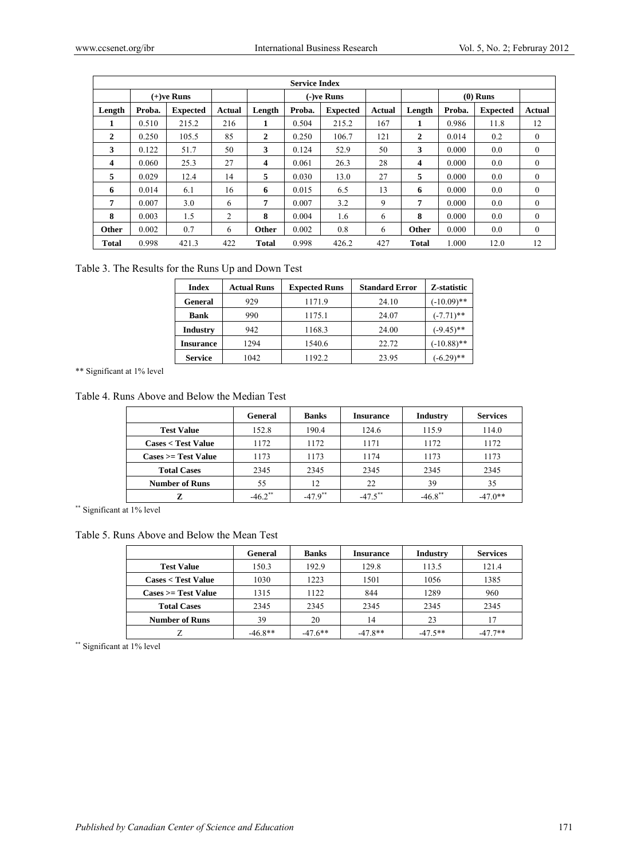|        | <b>Service Index</b> |                 |        |              |            |                 |        |              |            |                 |              |
|--------|----------------------|-----------------|--------|--------------|------------|-----------------|--------|--------------|------------|-----------------|--------------|
|        |                      | $(+)$ ve Runs   |        |              | (-)ve Runs |                 |        |              | $(0)$ Runs |                 |              |
| Length | Proba.               | <b>Expected</b> | Actual | Length       | Proba.     | <b>Expected</b> | Actual | Length       | Proba.     | <b>Expected</b> | Actual       |
| ı      | 0.510                | 215.2           | 216    | 1            | 0.504      | 215.2           | 167    | 1            | 0.986      | 11.8            | 12           |
| 2      | 0.250                | 105.5           | 85     | $\mathbf{2}$ | 0.250      | 106.7           | 121    | $\mathbf{2}$ | 0.014      | 0.2             | $\mathbf{0}$ |
| 3      | 0.122                | 51.7            | 50     | 3            | 0.124      | 52.9            | 50     | 3            | 0.000      | 0.0             | $\Omega$     |
| 4      | 0.060                | 25.3            | 27     | 4            | 0.061      | 26.3            | 28     | 4            | 0.000      | 0.0             | $\Omega$     |
| 5      | 0.029                | 12.4            | 14     | 5            | 0.030      | 13.0            | 27     | 5            | 0.000      | 0.0             | $\theta$     |
| 6      | 0.014                | 6.1             | 16     | 6            | 0.015      | 6.5             | 13     | 6            | 0.000      | 0.0             | $\theta$     |
| 7      | 0.007                | 3.0             | 6      | 7            | 0.007      | 3.2             | 9      | 7            | 0.000      | 0.0             | $\mathbf{0}$ |
| 8      | 0.003                | 1.5             | 2      | 8            | 0.004      | 1.6             | 6      | 8            | 0.000      | 0.0             | $\mathbf{0}$ |
| Other  | 0.002                | 0.7             | 6      | Other        | 0.002      | 0.8             | 6      | Other        | 0.000      | 0.0             | $\mathbf{0}$ |
| Total  | 0.998                | 421.3           | 422    | <b>Total</b> | 0.998      | 426.2           | 427    | <b>Total</b> | 1.000      | 12.0            | 12           |

Table 3. The Results for the Runs Up and Down Test

| <b>Index</b>     | <b>Actual Runs</b> | <b>Expected Runs</b> | <b>Standard Error</b> | Z-statistic   |
|------------------|--------------------|----------------------|-----------------------|---------------|
| General          | 929                | 1171.9               | 24.10                 | $(-10.09)$ ** |
| <b>Bank</b>      | 990                | 1175.1               | 24.07                 | $(-7.71)$ **  |
| <b>Industry</b>  | 942                | 1168.3               | 24.00                 | $(-9.45)$ **  |
| <b>Insurance</b> | 1294               | 1540.6               | 22.72                 | $(-10.88)$ ** |
| <b>Service</b>   | 1042               | 1192.2               | 23.95                 | $(-6.29)$ **  |

\*\* Significant at 1% level

Table 4. Runs Above and Below the Median Test

|                                   | General    | <b>Banks</b> | <b>Insurance</b> | <b>Industry</b> | <b>Services</b> |
|-----------------------------------|------------|--------------|------------------|-----------------|-----------------|
| <b>Test Value</b>                 | 152.8      | 190.4        | 124.6            | 115.9           | 114.0           |
| <b>Cases &lt; Test Value</b>      | 1172       | 1172         | 1171             | 1172            | 1172            |
| $\text{Case} = \text{Test Value}$ | 1173       | 1173         | 1174             | 1173            | 1173            |
| <b>Total Cases</b>                | 2345       | 2345         | 2345             | 2345            | 2345            |
| <b>Number of Runs</b>             | 55         | 12           | 22               | 39              | 35              |
|                                   | $-46.2$ ** | $-47.9$ **   | $-47.5***$       | $-46.8$ **      | $-47.0**$       |

\*\* Significant at 1% level

Table 5. Runs Above and Below the Mean Test

|                                   | General   | <b>Banks</b> | <b>Insurance</b> | <b>Industry</b> | <b>Services</b> |
|-----------------------------------|-----------|--------------|------------------|-----------------|-----------------|
| <b>Test Value</b>                 | 150.3     | 192.9        | 129.8            | 113.5           | 121.4           |
| <b>Cases &lt; Test Value</b>      | 1030      | 1223         | 1501             | 1056            | 1385            |
| $\text{Case} = \text{Test Value}$ | 1315      | 1122         | 844              | 1289            | 960             |
| <b>Total Cases</b>                | 2345      | 2345         | 2345             | 2345            | 2345            |
| <b>Number of Runs</b>             | 39        | 20           | 14               | 23              |                 |
|                                   | $-46.8**$ | $-47.6**$    | $-47.8**$        | $-47.5**$       | $-47.7**$       |

\*\* Significant at 1% level